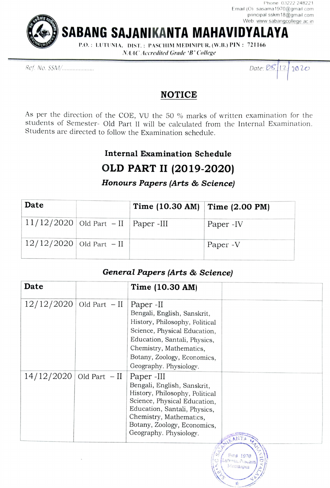Phone 03222 248221 Email (O) sasama1970@gmal com principal sskm 18@gmail com Web: www.sabangcollege ac in

SABANG SAJANIKANTA MAHAVIDYALAYA

P.O.: LUTUNIA, DIST.: PASCHIM MEDINIPUR, (w.B.) PIN: 721166 NAAC Aceredited Grade 'B° College

Ref. No. SSM/... ' Date: S2/ 202o

## NOTICE

As per the direction of the COE, VU the 50 % marks of written examination for the students of Semester- Old Part 1I will be calculated from the Internal Examination. Students are directed to follow the Examination schedule.

## Internal Examination Schedule

# OLD PART II (2019-2020)

Honours Papers (Arts & Science)

| Date                                  | Time $(10.30 \text{ AM})$ Time $(2.00 \text{ PM})$ |            |
|---------------------------------------|----------------------------------------------------|------------|
| $11/12/2020$ Old Part - II Paper -III |                                                    | Paper - IV |
| $12/12/2020$ Old Part - II            |                                                    | Paper - V  |

#### General Papers (Arts & Science)

| Date       |                | Time (10.30 AM)                                                                                                                                                                                                                 |                        |
|------------|----------------|---------------------------------------------------------------------------------------------------------------------------------------------------------------------------------------------------------------------------------|------------------------|
| 12/12/2020 | Old Part $-II$ | Paper -II<br>Bengali, English, Sanskrit,<br>History, Philosophy, Political<br>Science, Physical Education,<br>Education, Santali, Physics,<br>Chemistry, Mathematics,<br>Botany, Zoology, Economics,<br>Geography. Physiology.  |                        |
| 14/12/2020 | Old Part $-II$ | Paper -III<br>Bengali, English, Sanskrit,<br>History, Philosophy, Political<br>Science, Physical Education,<br>Education, Santali, Physics,<br>Chemistry, Mathematics,<br>Botany, Zoology, Economics,<br>Geography. Physiology. |                        |
|            |                |                                                                                                                                                                                                                                 | Fetd<br>froja, Pascium |

MudinPui

÷